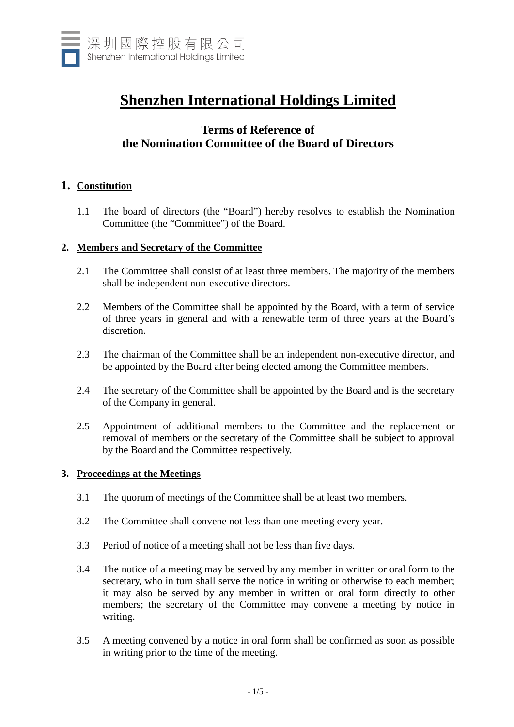

# **Shenzhen International Holdings Limited**

# **Terms of Reference of the Nomination Committee of the Board of Directors**

# **1. Constitution**

1.1 The board of directors (the "Board") hereby resolves to establish the Nomination Committee (the "Committee") of the Board.

## **2. Members and Secretary of the Committee**

- 2.1 The Committee shall consist of at least three members. The majority of the members shall be independent non-executive directors.
- 2.2 Members of the Committee shall be appointed by the Board, with a term of service of three years in general and with a renewable term of three years at the Board's discretion.
- 2.3 The chairman of the Committee shall be an independent non-executive director, and be appointed by the Board after being elected among the Committee members.
- 2.4 The secretary of the Committee shall be appointed by the Board and is the secretary of the Company in general.
- 2.5 Appointment of additional members to the Committee and the replacement or removal of members or the secretary of the Committee shall be subject to approval by the Board and the Committee respectively.

#### **3. Proceedings at the Meetings**

- 3.1 The quorum of meetings of the Committee shall be at least two members.
- 3.2 The Committee shall convene not less than one meeting every year.
- 3.3 Period of notice of a meeting shall not be less than five days.
- 3.4 The notice of a meeting may be served by any member in written or oral form to the secretary, who in turn shall serve the notice in writing or otherwise to each member; it may also be served by any member in written or oral form directly to other members; the secretary of the Committee may convene a meeting by notice in writing.
- 3.5 A meeting convened by a notice in oral form shall be confirmed as soon as possible in writing prior to the time of the meeting.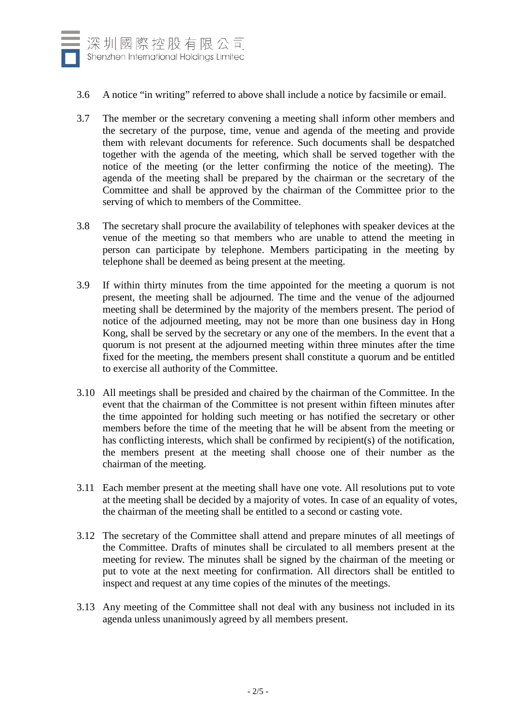

- 3.6 A notice "in writing" referred to above shall include a notice by facsimile or email.
- 3.7 The member or the secretary convening a meeting shall inform other members and the secretary of the purpose, time, venue and agenda of the meeting and provide them with relevant documents for reference. Such documents shall be despatched together with the agenda of the meeting, which shall be served together with the notice of the meeting (or the letter confirming the notice of the meeting). The agenda of the meeting shall be prepared by the chairman or the secretary of the Committee and shall be approved by the chairman of the Committee prior to the serving of which to members of the Committee.
- 3.8 The secretary shall procure the availability of telephones with speaker devices at the venue of the meeting so that members who are unable to attend the meeting in person can participate by telephone. Members participating in the meeting by telephone shall be deemed as being present at the meeting.
- 3.9 If within thirty minutes from the time appointed for the meeting a quorum is not present, the meeting shall be adjourned. The time and the venue of the adjourned meeting shall be determined by the majority of the members present. The period of notice of the adjourned meeting, may not be more than one business day in Hong Kong, shall be served by the secretary or any one of the members. In the event that a quorum is not present at the adjourned meeting within three minutes after the time fixed for the meeting, the members present shall constitute a quorum and be entitled to exercise all authority of the Committee.
- 3.10 All meetings shall be presided and chaired by the chairman of the Committee. In the event that the chairman of the Committee is not present within fifteen minutes after the time appointed for holding such meeting or has notified the secretary or other members before the time of the meeting that he will be absent from the meeting or has conflicting interests, which shall be confirmed by recipient(s) of the notification, the members present at the meeting shall choose one of their number as the chairman of the meeting.
- 3.11 Each member present at the meeting shall have one vote. All resolutions put to vote at the meeting shall be decided by a majority of votes. In case of an equality of votes, the chairman of the meeting shall be entitled to a second or casting vote.
- 3.12 The secretary of the Committee shall attend and prepare minutes of all meetings of the Committee. Drafts of minutes shall be circulated to all members present at the meeting for review. The minutes shall be signed by the chairman of the meeting or put to vote at the next meeting for confirmation. All directors shall be entitled to inspect and request at any time copies of the minutes of the meetings.
- 3.13 Any meeting of the Committee shall not deal with any business not included in its agenda unless unanimously agreed by all members present.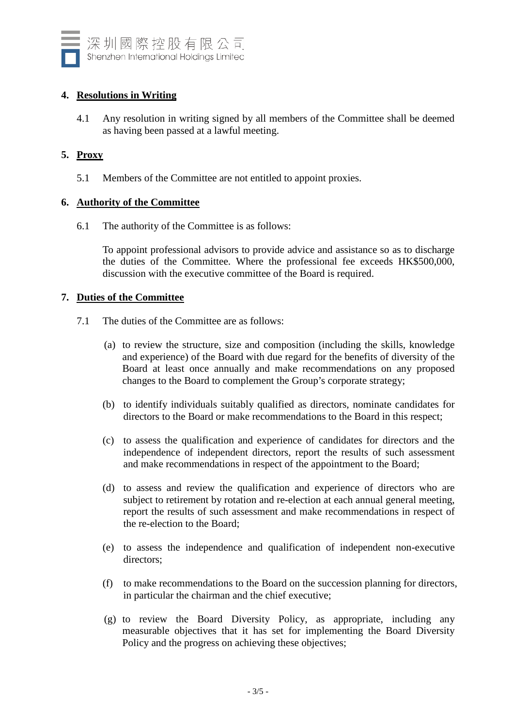

# **4. Resolutions in Writing**

4.1 Any resolution in writing signed by all members of the Committee shall be deemed as having been passed at a lawful meeting.

# **5. Proxy**

5.1 Members of the Committee are not entitled to appoint proxies.

## **6. Authority of the Committee**

6.1 The authority of the Committee is as follows:

To appoint professional advisors to provide advice and assistance so as to discharge the duties of the Committee. Where the professional fee exceeds HK\$500,000, discussion with the executive committee of the Board is required.

## **7. Duties of the Committee**

- 7.1 The duties of the Committee are as follows:
	- (a) to review the structure, size and composition (including the skills, knowledge and experience) of the Board with due regard for the benefits of diversity of the Board at least once annually and make recommendations on any proposed changes to the Board to complement the Group's corporate strategy;
	- (b) to identify individuals suitably qualified as directors, nominate candidates for directors to the Board or make recommendations to the Board in this respect;
	- (c) to assess the qualification and experience of candidates for directors and the independence of independent directors, report the results of such assessment and make recommendations in respect of the appointment to the Board;
	- (d) to assess and review the qualification and experience of directors who are subject to retirement by rotation and re-election at each annual general meeting, report the results of such assessment and make recommendations in respect of the re-election to the Board;
	- (e) to assess the independence and qualification of independent non-executive directors;
	- (f) to make recommendations to the Board on the succession planning for directors, in particular the chairman and the chief executive;
	- (g) to review the Board Diversity Policy, as appropriate, including any measurable objectives that it has set for implementing the Board Diversity Policy and the progress on achieving these objectives;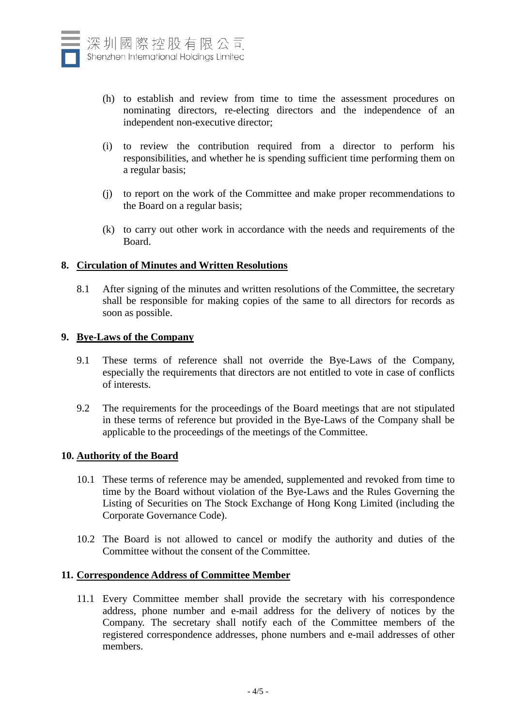

- (h) to establish and review from time to time the assessment procedures on nominating directors, re-electing directors and the independence of an independent non-executive director;
- (i) to review the contribution required from a director to perform his responsibilities, and whether he is spending sufficient time performing them on a regular basis;
- (j) to report on the work of the Committee and make proper recommendations to the Board on a regular basis;
- (k) to carry out other work in accordance with the needs and requirements of the Board.

## **8. Circulation of Minutes and Written Resolutions**

8.1 After signing of the minutes and written resolutions of the Committee, the secretary shall be responsible for making copies of the same to all directors for records as soon as possible.

#### **9. Bye-Laws of the Company**

- 9.1 These terms of reference shall not override the Bye-Laws of the Company, especially the requirements that directors are not entitled to vote in case of conflicts of interests.
- 9.2 The requirements for the proceedings of the Board meetings that are not stipulated in these terms of reference but provided in the Bye-Laws of the Company shall be applicable to the proceedings of the meetings of the Committee.

#### **10. Authority of the Board**

- 10.1 These terms of reference may be amended, supplemented and revoked from time to time by the Board without violation of the Bye-Laws and the Rules Governing the Listing of Securities on The Stock Exchange of Hong Kong Limited (including the Corporate Governance Code).
- 10.2 The Board is not allowed to cancel or modify the authority and duties of the Committee without the consent of the Committee.

## **11. Correspondence Address of Committee Member**

11.1 Every Committee member shall provide the secretary with his correspondence address, phone number and e-mail address for the delivery of notices by the Company. The secretary shall notify each of the Committee members of the registered correspondence addresses, phone numbers and e-mail addresses of other members.